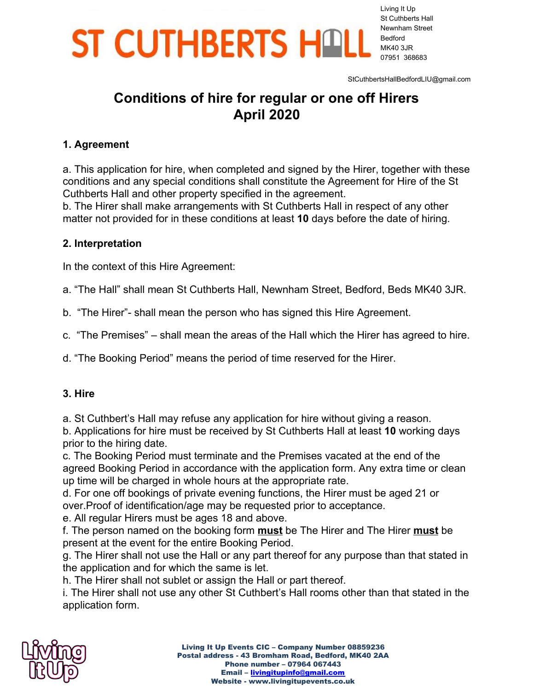Living It Up St Cuthberts Hall Newnham Street Bedford MK40 3JR 07951 368683

StCuthbertsHallBedfordLIU@gmail.com

### **Conditions of hire for regular or one off Hirers April 2020**

#### **1. Agreement**

a. This application for hire, when completed and signed by the Hirer, together with these conditions and any special conditions shall constitute the Agreement for Hire of the St Cuthberts Hall and other property specified in the agreement.

b. The Hirer shall make arrangements with St Cuthberts Hall in respect of any other matter not provided for in these conditions at least **10** days before the date of hiring.

#### **2. Interpretation**

In the context of this Hire Agreement:

a. "The Hall" shall mean St Cuthberts Hall, Newnham Street, Bedford, Beds MK40 3JR.

b. "The Hirer"- shall mean the person who has signed this Hire Agreement.

c. "The Premises" – shall mean the areas of the Hall which the Hirer has agreed to hire.

d. "The Booking Period" means the period of time reserved for the Hirer.

#### **3. Hire**

a. St Cuthbert's Hall may refuse any application for hire without giving a reason.

b. Applications for hire must be received by St Cuthberts Hall at least **10** working days prior to the hiring date.

c. The Booking Period must terminate and the Premises vacated at the end of the agreed Booking Period in accordance with the application form. Any extra time or clean up time will be charged in whole hours at the appropriate rate.

d. For one off bookings of private evening functions, the Hirer must be aged 21 or over.Proof of identification/age may be requested prior to acceptance.

e. All regular Hirers must be ages 18 and above.

f. The person named on the booking form **must** be The Hirer and The Hirer **must** be present at the event for the entire Booking Period.

g. The Hirer shall not use the Hall or any part thereof for any purpose than that stated in the application and for which the same is let.

h. The Hirer shall not sublet or assign the Hall or part thereof.

i. The Hirer shall not use any other St Cuthbert's Hall rooms other than that stated in the application form.

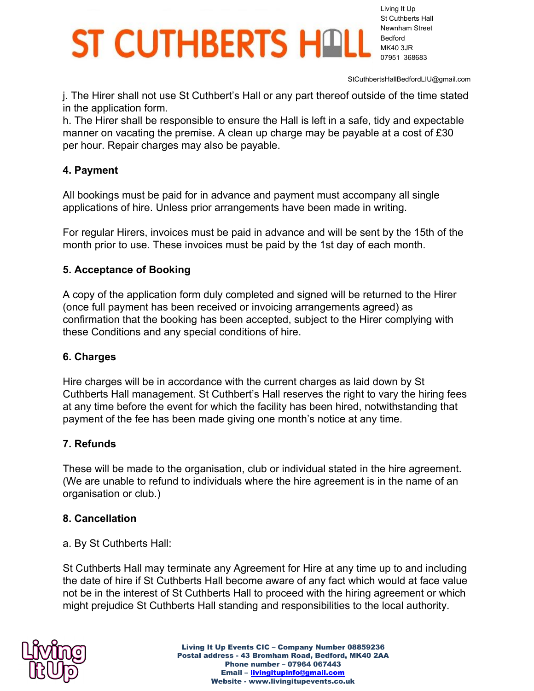Living It Up St Cuthberts Hall Newnham Street Bedford MK40 3JR 07951 368683

StCuthbertsHallBedfordLIU@gmail.com

j. The Hirer shall not use St Cuthbert's Hall or any part thereof outside of the time stated in the application form.

h. The Hirer shall be responsible to ensure the Hall is left in a safe, tidy and expectable manner on vacating the premise. A clean up charge may be payable at a cost of £30 per hour. Repair charges may also be payable.

### **4. Payment**

All bookings must be paid for in advance and payment must accompany all single applications of hire. Unless prior arrangements have been made in writing.

For regular Hirers, invoices must be paid in advance and will be sent by the 15th of the month prior to use. These invoices must be paid by the 1st day of each month.

### **5. Acceptance of Booking**

A copy of the application form duly completed and signed will be returned to the Hirer (once full payment has been received or invoicing arrangements agreed) as confirmation that the booking has been accepted, subject to the Hirer complying with these Conditions and any special conditions of hire.

#### **6. Charges**

Hire charges will be in accordance with the current charges as laid down by St Cuthberts Hall management. St Cuthbert's Hall reserves the right to vary the hiring fees at any time before the event for which the facility has been hired, notwithstanding that payment of the fee has been made giving one month's notice at any time.

### **7. Refunds**

These will be made to the organisation, club or individual stated in the hire agreement. (We are unable to refund to individuals where the hire agreement is in the name of an organisation or club.)

### **8. Cancellation**

a. By St Cuthberts Hall:

St Cuthberts Hall may terminate any Agreement for Hire at any time up to and including the date of hire if St Cuthberts Hall become aware of any fact which would at face value not be in the interest of St Cuthberts Hall to proceed with the hiring agreement or which might prejudice St Cuthberts Hall standing and responsibilities to the local authority.

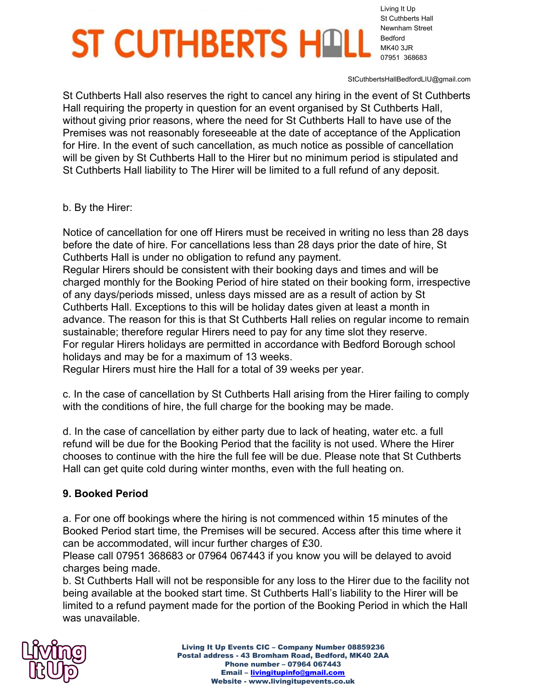Living It Up St Cuthberts Hall Newnham Street Bedford MK40 3JR 07951 368683

StCuthbertsHallBedfordLIU@gmail.com

St Cuthberts Hall also reserves the right to cancel any hiring in the event of St Cuthberts Hall requiring the property in question for an event organised by St Cuthberts Hall, without giving prior reasons, where the need for St Cuthberts Hall to have use of the Premises was not reasonably foreseeable at the date of acceptance of the Application for Hire. In the event of such cancellation, as much notice as possible of cancellation will be given by St Cuthberts Hall to the Hirer but no minimum period is stipulated and St Cuthberts Hall liability to The Hirer will be limited to a full refund of any deposit.

b. By the Hirer:

Notice of cancellation for one off Hirers must be received in writing no less than 28 days before the date of hire. For cancellations less than 28 days prior the date of hire, St Cuthberts Hall is under no obligation to refund any payment.

Regular Hirers should be consistent with their booking days and times and will be charged monthly for the Booking Period of hire stated on their booking form, irrespective of any days/periods missed, unless days missed are as a result of action by St Cuthberts Hall. Exceptions to this will be holiday dates given at least a month in advance. The reason for this is that St Cuthberts Hall relies on regular income to remain sustainable; therefore regular Hirers need to pay for any time slot they reserve. For regular Hirers holidays are permitted in accordance with Bedford Borough school holidays and may be for a maximum of 13 weeks.

Regular Hirers must hire the Hall for a total of 39 weeks per year.

c. In the case of cancellation by St Cuthberts Hall arising from the Hirer failing to comply with the conditions of hire, the full charge for the booking may be made.

d. In the case of cancellation by either party due to lack of heating, water etc. a full refund will be due for the Booking Period that the facility is not used. Where the Hirer chooses to continue with the hire the full fee will be due. Please note that St Cuthberts Hall can get quite cold during winter months, even with the full heating on.

### **9. Booked Period**

a. For one off bookings where the hiring is not commenced within 15 minutes of the Booked Period start time, the Premises will be secured. Access after this time where it can be accommodated, will incur further charges of £30.

Please call 07951 368683 or 07964 067443 if you know you will be delayed to avoid charges being made.

b. St Cuthberts Hall will not be responsible for any loss to the Hirer due to the facility not being available at the booked start time. St Cuthberts Hall's liability to the Hirer will be limited to a refund payment made for the portion of the Booking Period in which the Hall was unavailable.

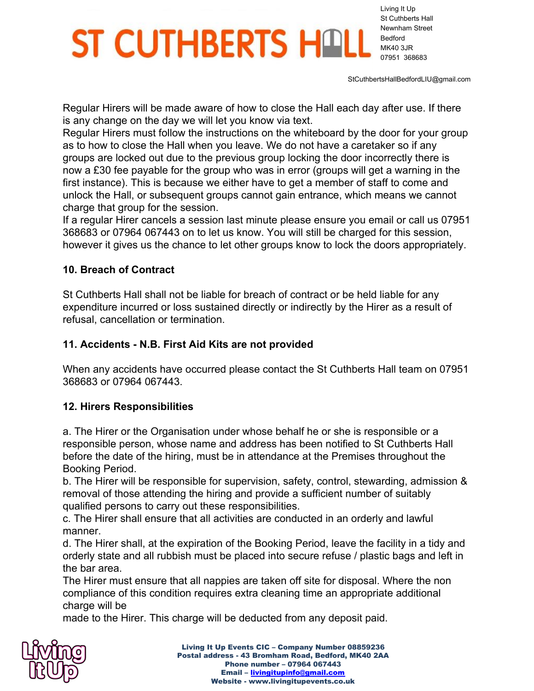Living It Up St Cuthberts Hall Newnham Street Bedford MK40 3JR 07951 368683

StCuthbertsHallBedfordLIU@gmail.com

Regular Hirers will be made aware of how to close the Hall each day after use. If there is any change on the day we will let you know via text.

Regular Hirers must follow the instructions on the whiteboard by the door for your group as to how to close the Hall when you leave. We do not have a caretaker so if any groups are locked out due to the previous group locking the door incorrectly there is now a £30 fee payable for the group who was in error (groups will get a warning in the first instance). This is because we either have to get a member of staff to come and unlock the Hall, or subsequent groups cannot gain entrance, which means we cannot charge that group for the session.

If a regular Hirer cancels a session last minute please ensure you email or call us 07951 368683 or 07964 067443 on to let us know. You will still be charged for this session, however it gives us the chance to let other groups know to lock the doors appropriately.

#### **10. Breach of Contract**

St Cuthberts Hall shall not be liable for breach of contract or be held liable for any expenditure incurred or loss sustained directly or indirectly by the Hirer as a result of refusal, cancellation or termination.

### **11. Accidents - N.B. First Aid Kits are not provided**

When any accidents have occurred please contact the St Cuthberts Hall team on 07951 368683 or 07964 067443.

### **12. Hirers Responsibilities**

a. The Hirer or the Organisation under whose behalf he or she is responsible or a responsible person, whose name and address has been notified to St Cuthberts Hall before the date of the hiring, must be in attendance at the Premises throughout the Booking Period.

b. The Hirer will be responsible for supervision, safety, control, stewarding, admission & removal of those attending the hiring and provide a sufficient number of suitably qualified persons to carry out these responsibilities.

c. The Hirer shall ensure that all activities are conducted in an orderly and lawful manner.

d. The Hirer shall, at the expiration of the Booking Period, leave the facility in a tidy and orderly state and all rubbish must be placed into secure refuse / plastic bags and left in the bar area.

The Hirer must ensure that all nappies are taken off site for disposal. Where the non compliance of this condition requires extra cleaning time an appropriate additional charge will be

made to the Hirer. This charge will be deducted from any deposit paid.

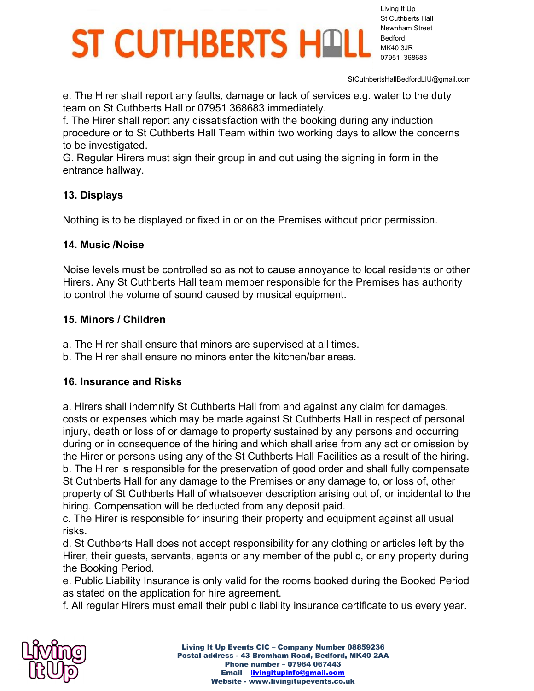Living It Up St Cuthberts Hall Newnham Street Bedford MK40 3JR 07951 368683

StCuthbertsHallBedfordLIU@gmail.com

e. The Hirer shall report any faults, damage or lack of services e.g. water to the duty team on St Cuthberts Hall or 07951 368683 immediately.

f. The Hirer shall report any dissatisfaction with the booking during any induction procedure or to St Cuthberts Hall Team within two working days to allow the concerns to be investigated.

G. Regular Hirers must sign their group in and out using the signing in form in the entrance hallway.

#### **13. Displays**

Nothing is to be displayed or fixed in or on the Premises without prior permission.

#### **14. Music /Noise**

Noise levels must be controlled so as not to cause annoyance to local residents or other Hirers. Any St Cuthberts Hall team member responsible for the Premises has authority to control the volume of sound caused by musical equipment.

#### **15. Minors / Children**

- a. The Hirer shall ensure that minors are supervised at all times.
- b. The Hirer shall ensure no minors enter the kitchen/bar areas.

#### **16. Insurance and Risks**

a. Hirers shall indemnify St Cuthberts Hall from and against any claim for damages, costs or expenses which may be made against St Cuthberts Hall in respect of personal injury, death or loss of or damage to property sustained by any persons and occurring during or in consequence of the hiring and which shall arise from any act or omission by the Hirer or persons using any of the St Cuthberts Hall Facilities as a result of the hiring. b. The Hirer is responsible for the preservation of good order and shall fully compensate St Cuthberts Hall for any damage to the Premises or any damage to, or loss of, other property of St Cuthberts Hall of whatsoever description arising out of, or incidental to the hiring. Compensation will be deducted from any deposit paid.

c. The Hirer is responsible for insuring their property and equipment against all usual risks.

d. St Cuthberts Hall does not accept responsibility for any clothing or articles left by the Hirer, their guests, servants, agents or any member of the public, or any property during the Booking Period.

e. Public Liability Insurance is only valid for the rooms booked during the Booked Period as stated on the application for hire agreement.

f. All regular Hirers must email their public liability insurance certificate to us every year.

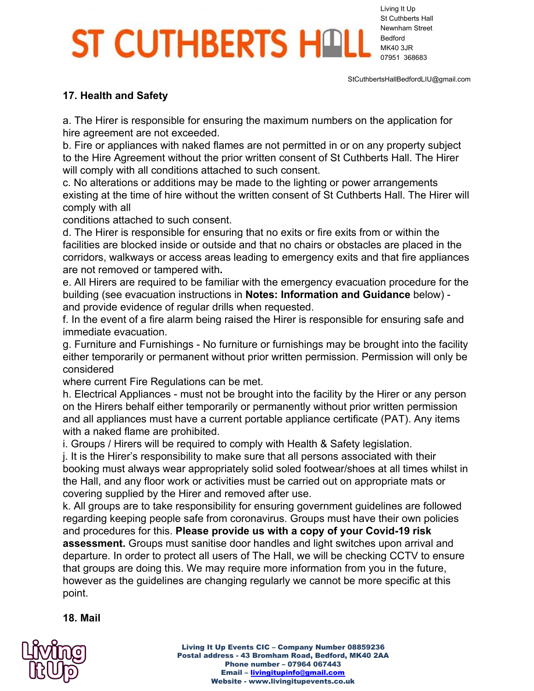Living It Up St Cuthberts Hall Newnham Street Bedford MK40 3JR 07951 368683

StCuthbertsHallBedfordLIU@gmail.com

#### **17. Health and Safety**

a. The Hirer is responsible for ensuring the maximum numbers on the application for hire agreement are not exceeded.

b. Fire or appliances with naked flames are not permitted in or on any property subject to the Hire Agreement without the prior written consent of St Cuthberts Hall. The Hirer will comply with all conditions attached to such consent.

c. No alterations or additions may be made to the lighting or power arrangements existing at the time of hire without the written consent of St Cuthberts Hall. The Hirer will comply with all

conditions attached to such consent.

d. The Hirer is responsible for ensuring that no exits or fire exits from or within the facilities are blocked inside or outside and that no chairs or obstacles are placed in the corridors, walkways or access areas leading to emergency exits and that fire appliances are not removed or tampered with**.**

e. All Hirers are required to be familiar with the emergency evacuation procedure for the building (see evacuation instructions in **Notes: Information and Guidance** below) and provide evidence of regular drills when requested.

f. In the event of a fire alarm being raised the Hirer is responsible for ensuring safe and immediate evacuation.

g. Furniture and Furnishings - No furniture or furnishings may be brought into the facility either temporarily or permanent without prior written permission. Permission will only be considered

where current Fire Regulations can be met.

h. Electrical Appliances - must not be brought into the facility by the Hirer or any person on the Hirers behalf either temporarily or permanently without prior written permission and all appliances must have a current portable appliance certificate (PAT). Any items with a naked flame are prohibited.

i. Groups / Hirers will be required to comply with Health & Safety legislation.

j. It is the Hirer's responsibility to make sure that all persons associated with their booking must always wear appropriately solid soled footwear/shoes at all times whilst in the Hall, and any floor work or activities must be carried out on appropriate mats or covering supplied by the Hirer and removed after use.

k. All groups are to take responsibility for ensuring government guidelines are followed regarding keeping people safe from coronavirus. Groups must have their own policies and procedures for this. **Please provide us with a copy of your Covid-19 risk assessment.** Groups must sanitise door handles and light switches upon arrival and departure. In order to protect all users of The Hall, we will be checking CCTV to ensure that groups are doing this. We may require more information from you in the future, however as the guidelines are changing regularly we cannot be more specific at this point.

#### **18. Mail**

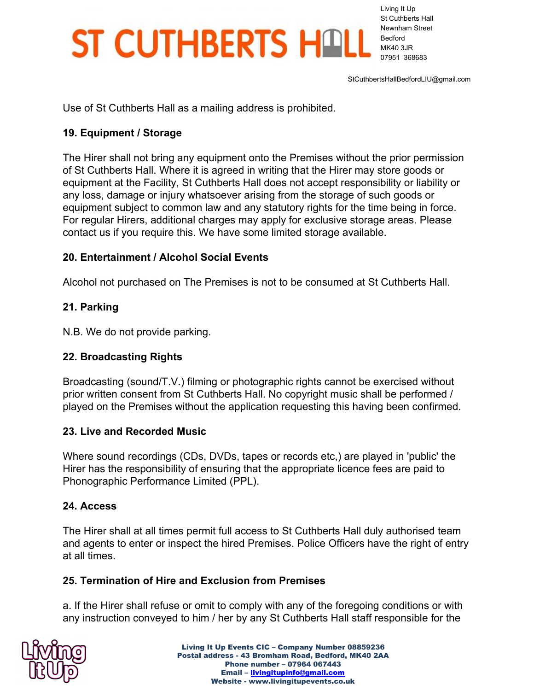Living It Up St Cuthberts Hall Newnham Street Bedford MK40 3JR 07951 368683

StCuthbertsHallBedfordLIU@gmail.com

Use of St Cuthberts Hall as a mailing address is prohibited.

### **19. Equipment / Storage**

The Hirer shall not bring any equipment onto the Premises without the prior permission of St Cuthberts Hall. Where it is agreed in writing that the Hirer may store goods or equipment at the Facility, St Cuthberts Hall does not accept responsibility or liability or any loss, damage or injury whatsoever arising from the storage of such goods or equipment subject to common law and any statutory rights for the time being in force. For regular Hirers, additional charges may apply for exclusive storage areas. Please contact us if you require this. We have some limited storage available.

### **20. Entertainment / Alcohol Social Events**

Alcohol not purchased on The Premises is not to be consumed at St Cuthberts Hall.

### **21. Parking**

N.B. We do not provide parking.

### **22. Broadcasting Rights**

Broadcasting (sound/T.V.) filming or photographic rights cannot be exercised without prior written consent from St Cuthberts Hall. No copyright music shall be performed / played on the Premises without the application requesting this having been confirmed.

### **23. Live and Recorded Music**

Where sound recordings (CDs, DVDs, tapes or records etc,) are played in 'public' the Hirer has the responsibility of ensuring that the appropriate licence fees are paid to Phonographic Performance Limited (PPL).

### **24. Access**

The Hirer shall at all times permit full access to St Cuthberts Hall duly authorised team and agents to enter or inspect the hired Premises. Police Officers have the right of entry at all times.

### **25. Termination of Hire and Exclusion from Premises**

a. If the Hirer shall refuse or omit to comply with any of the foregoing conditions or with any instruction conveyed to him / her by any St Cuthberts Hall staff responsible for the

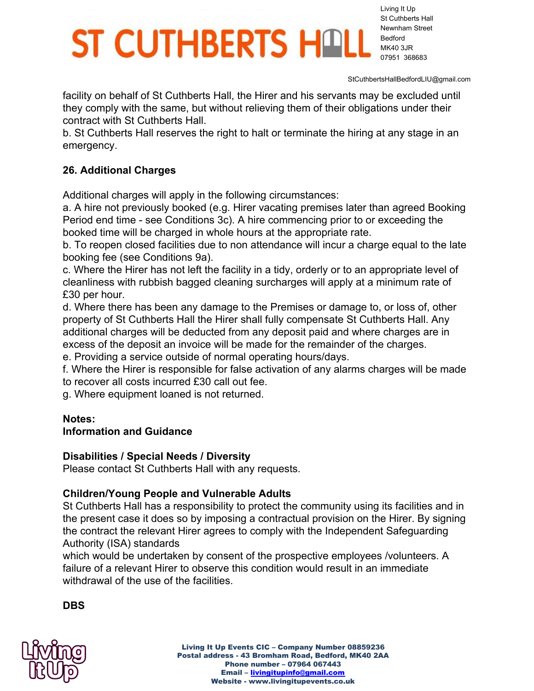Living It Up St Cuthberts Hall Newnham Street Bedford MK40 3JR 07951 368683

StCuthbertsHallBedfordLIU@gmail.com

facility on behalf of St Cuthberts Hall, the Hirer and his servants may be excluded until they comply with the same, but without relieving them of their obligations under their contract with St Cuthberts Hall.

b. St Cuthberts Hall reserves the right to halt or terminate the hiring at any stage in an emergency.

### **26. Additional Charges**

Additional charges will apply in the following circumstances:

a. A hire not previously booked (e.g. Hirer vacating premises later than agreed Booking Period end time - see Conditions 3c). A hire commencing prior to or exceeding the booked time will be charged in whole hours at the appropriate rate.

b. To reopen closed facilities due to non attendance will incur a charge equal to the late booking fee (see Conditions 9a).

c. Where the Hirer has not left the facility in a tidy, orderly or to an appropriate level of cleanliness with rubbish bagged cleaning surcharges will apply at a minimum rate of £30 per hour.

d. Where there has been any damage to the Premises or damage to, or loss of, other property of St Cuthberts Hall the Hirer shall fully compensate St Cuthberts Hall. Any additional charges will be deducted from any deposit paid and where charges are in excess of the deposit an invoice will be made for the remainder of the charges.

e. Providing a service outside of normal operating hours/days.

f. Where the Hirer is responsible for false activation of any alarms charges will be made to recover all costs incurred £30 call out fee.

g. Where equipment loaned is not returned.

### **Notes:**

### **Information and Guidance**

### **Disabilities / Special Needs / Diversity**

Please contact St Cuthberts Hall with any requests.

### **Children/Young People and Vulnerable Adults**

St Cuthberts Hall has a responsibility to protect the community using its facilities and in the present case it does so by imposing a contractual provision on the Hirer. By signing the contract the relevant Hirer agrees to comply with the Independent Safeguarding Authority (ISA) standards

which would be undertaken by consent of the prospective employees /volunteers. A failure of a relevant Hirer to observe this condition would result in an immediate withdrawal of the use of the facilities.

**DBS**

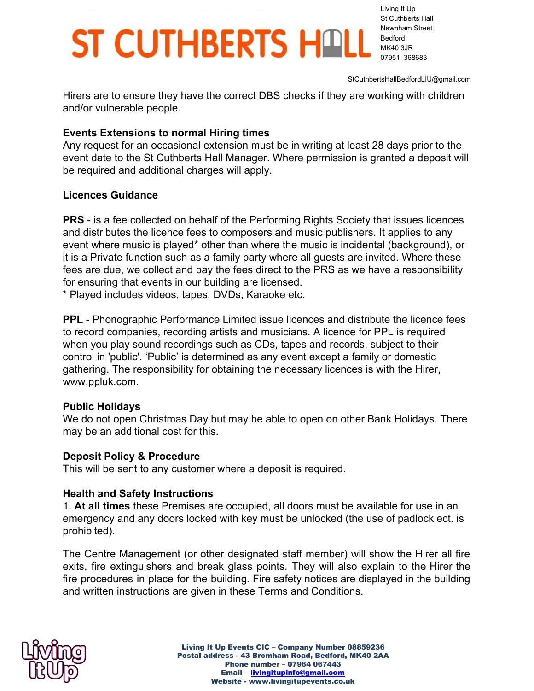Living It Up St Cuthberts Hall Newnham Street Bedford MK40 3JR 07951 368683

StCuthbertsHallBedfordLIU@gmail.com

Hirers are to ensure they have the correct DBS checks if they are working with children and/or vulnerable people.

#### **Events Extensions to normal Hiring times**

Any request for an occasional extension must be in writing at least 28 days prior to the event date to the St Cuthberts Hall Manager. Where permission is granted a deposit will be required and additional charges will apply.

#### **Licences Guidance**

**PRS** - is a fee collected on behalf of the Performing Rights Society that issues licences and distributes the licence fees to composers and music publishers. It applies to any event where music is played\* other than where the music is incidental (background), or it is a Private function such as a family party where all guests are invited. Where these fees are due, we collect and pay the fees direct to the PRS as we have a responsibility for ensuring that events in our building are licensed.

\* Played includes videos, tapes, DVDs, Karaoke etc.

**PPL** - Phonographic Performance Limited issue licences and distribute the licence fees to record companies, recording artists and musicians. A licence for PPL is required when you play sound recordings such as CDs, tapes and records, subject to their control in 'public'. 'Public' is determined as any event except a family or domestic gathering. The responsibility for obtaining the necessary licences is with the Hirer, www.ppluk.com.

#### **Public Holidays**

We do not open Christmas Day but may be able to open on other Bank Holidays. There may be an additional cost for this.

#### **Deposit Policy & Procedure**

This will be sent to any customer where a deposit is required.

#### **Health and Safety Instructions**

1. **At all times** these Premises are occupied, all doors must be available for use in an emergency and any doors locked with key must be unlocked (the use of padlock ect. is prohibited).

The Centre Management (or other designated staff member) will show the Hirer all fire exits, fire extinguishers and break glass points. They will also explain to the Hirer the fire procedures in place for the building. Fire safety notices are displayed in the building and written instructions are given in these Terms and Conditions.

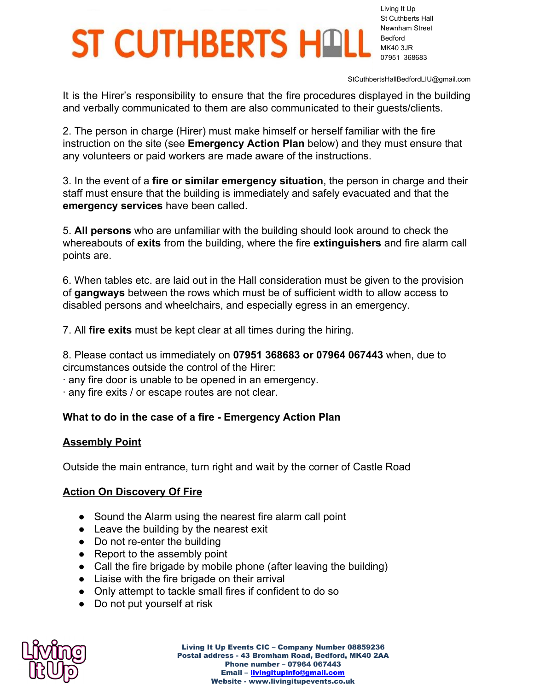Living It Up St Cuthberts Hall Newnham Street Bedford MK40 3JR 07951 368683

StCuthbertsHallBedfordLIU@gmail.com

It is the Hirer's responsibility to ensure that the fire procedures displayed in the building and verbally communicated to them are also communicated to their guests/clients.

2. The person in charge (Hirer) must make himself or herself familiar with the fire instruction on the site (see **Emergency Action Plan** below) and they must ensure that any volunteers or paid workers are made aware of the instructions.

3. In the event of a **fire or similar emergency situation**, the person in charge and their staff must ensure that the building is immediately and safely evacuated and that the **emergency services** have been called.

5. **All persons** who are unfamiliar with the building should look around to check the whereabouts of **exits** from the building, where the fire **extinguishers** and fire alarm call points are.

6. When tables etc. are laid out in the Hall consideration must be given to the provision of **gangways** between the rows which must be of sufficient width to allow access to disabled persons and wheelchairs, and especially egress in an emergency.

7. All **fire exits** must be kept clear at all times during the hiring.

8. Please contact us immediately on **07951 368683 or 07964 067443** when, due to circumstances outside the control of the Hirer:

· any fire door is unable to be opened in an emergency.

· any fire exits / or escape routes are not clear.

#### **What to do in the case of a fire - Emergency Action Plan**

#### **Assembly Point**

Outside the main entrance, turn right and wait by the corner of Castle Road

#### **Action On Discovery Of Fire**

- **●** Sound the Alarm using the nearest fire alarm call point
- **●** Leave the building by the nearest exit
- **●** Do not re-enter the building
- **●** Report to the assembly point
- **●** Call the fire brigade by mobile phone (after leaving the building)
- **●** Liaise with the fire brigade on their arrival
- **●** Only attempt to tackle small fires if confident to do so
- **●** Do not put yourself at risk